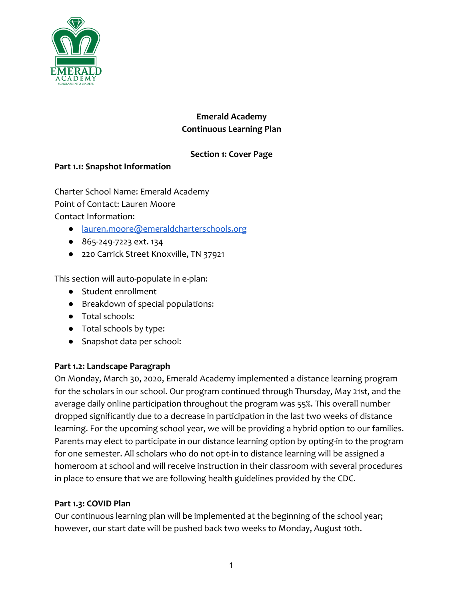

# **Emerald Academy Continuous Learning Plan**

# **Section 1: Cover Page**

# **Part 1.1: Snapshot Information**

Charter School Name: Emerald Academy Point of Contact: Lauren Moore Contact Information:

- [lauren.moore@emeraldcharterschools.org](mailto:lauren.moore@emeraldcharterschools.org)
- 865-249-7223 ext. 134
- 220 Carrick Street Knoxville, TN 37921

This section will auto-populate in e-plan:

- Student enrollment
- Breakdown of special populations:
- Total schools:
- Total schools by type:
- Snapshot data per school:

# **Part 1.2: Landscape Paragraph**

On Monday, March 30, 2020, Emerald Academy implemented a distance learning program for the scholars in our school. Our program continued through Thursday, May 21st, and the average daily online participation throughout the program was 55%. This overall number dropped significantly due to a decrease in participation in the last two weeks of distance learning. For the upcoming school year, we will be providing a hybrid option to our families. Parents may elect to participate in our distance learning option by opting-in to the program for one semester. All scholars who do not opt-in to distance learning will be assigned a homeroom at school and will receive instruction in their classroom with several procedures in place to ensure that we are following health guidelines provided by the CDC.

# **Part 1.3: COVID Plan**

Our continuous learning plan will be implemented at the beginning of the school year; however, our start date will be pushed back two weeks to Monday, August 10th.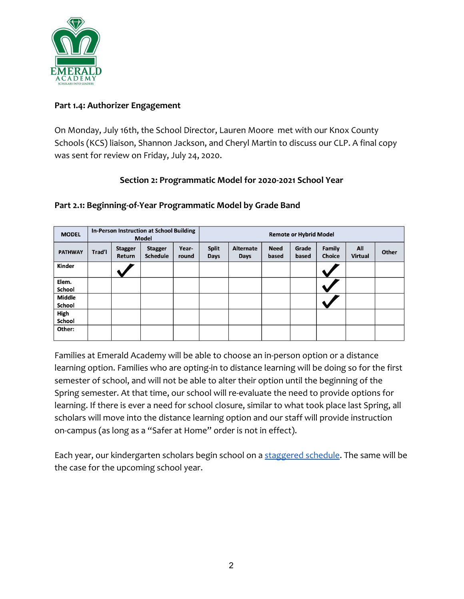

#### **Part 1.4: Authorizer Engagement**

On Monday, July 16th, the School Director, Lauren Moore met with our Knox County Schools (KCS) liaison, Shannon Jackson, and Cheryl Martin to discuss our CLP. A final copy was sent for review on Friday, July 24, 2020.

# **Section 2: Programmatic Model for 2020-2021 School Year**

| <b>MODEL</b>            | In-Person Instruction at School Building<br><b>Model</b> |                          |                                   |                | <b>Remote or Hybrid Model</b> |                          |                      |                |                         |                       |       |
|-------------------------|----------------------------------------------------------|--------------------------|-----------------------------------|----------------|-------------------------------|--------------------------|----------------------|----------------|-------------------------|-----------------------|-------|
| <b>PATHWAY</b>          | Trad'l                                                   | <b>Stagger</b><br>Return | <b>Stagger</b><br><b>Schedule</b> | Year-<br>round | <b>Split</b><br><b>Days</b>   | <b>Alternate</b><br>Days | <b>Need</b><br>based | Grade<br>based | Family<br><b>Choice</b> | All<br><b>Virtual</b> | Other |
| Kinder                  |                                                          |                          |                                   |                |                               |                          |                      |                |                         |                       |       |
| Elem.<br>School         |                                                          |                          |                                   |                |                               |                          |                      |                |                         |                       |       |
| <b>Middle</b><br>School |                                                          |                          |                                   |                |                               |                          |                      |                |                         |                       |       |
| High<br>School          |                                                          |                          |                                   |                |                               |                          |                      |                |                         |                       |       |
| Other:                  |                                                          |                          |                                   |                |                               |                          |                      |                |                         |                       |       |

#### **Part 2.1: Beginning-of-Year Programmatic Model by Grade Band**

Families at Emerald Academy will be able to choose an in-person option or a distance learning option. Families who are opting-in to distance learning will be doing so for the first semester of school, and will not be able to alter their option until the beginning of the Spring semester. At that time, our school will re-evaluate the need to provide options for learning. If there is ever a need for school closure, similar to what took place last Spring, all scholars will move into the distance learning option and our staff will provide instruction on-campus (as long as a "Safer at Home" order is not in effect).

Each year, our kindergarten scholars begin school on a [staggered schedule](https://docs.google.com/document/d/1WEkJ7UZWN1IcsuiTblvIaRVAxU9IfHpJAxM3CbidHLw/edit?usp=sharing). The same will be the case for the upcoming school year.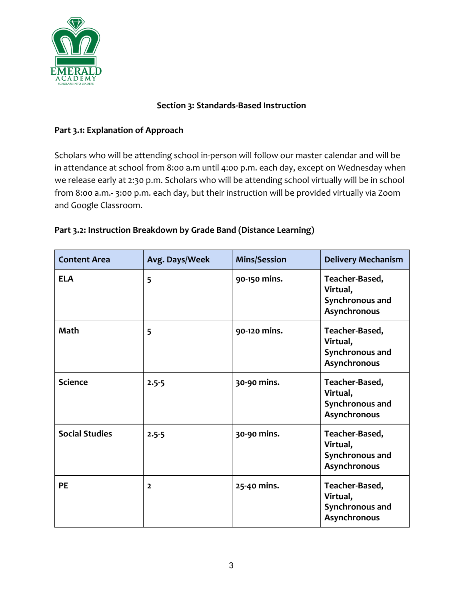

#### **Section 3: Standards-Based Instruction**

# **Part 3.1: Explanation of Approach**

Scholars who will be attending school in-person will follow our master calendar and will be in attendance at school from 8:00 a.m until 4:00 p.m. each day, except on Wednesday when we release early at 2:30 p.m. Scholars who will be attending school virtually will be in school from 8:00 a.m.- 3:00 p.m. each day, but their instruction will be provided virtually via Zoom and Google Classroom.

| Part 3.2: Instruction Breakdown by Grade Band (Distance Learning) |
|-------------------------------------------------------------------|
|-------------------------------------------------------------------|

| <b>Content Area</b>   | Avg. Days/Week | <b>Mins/Session</b> | <b>Delivery Mechanism</b>                                     |
|-----------------------|----------------|---------------------|---------------------------------------------------------------|
| <b>ELA</b>            | 5              | 90-150 mins.        | Teacher-Based,<br>Virtual,<br>Synchronous and<br>Asynchronous |
| <b>Math</b>           | 5              | 90-120 mins.        | Teacher-Based,<br>Virtual,<br>Synchronous and<br>Asynchronous |
| <b>Science</b>        | $2.5 - 5$      | 30-90 mins.         | Teacher-Based,<br>Virtual,<br>Synchronous and<br>Asynchronous |
| <b>Social Studies</b> | $2.5 - 5$      | 30-90 mins.         | Teacher-Based,<br>Virtual,<br>Synchronous and<br>Asynchronous |
| <b>PE</b>             | $\overline{2}$ | 25-40 mins.         | Teacher-Based,<br>Virtual,<br>Synchronous and<br>Asynchronous |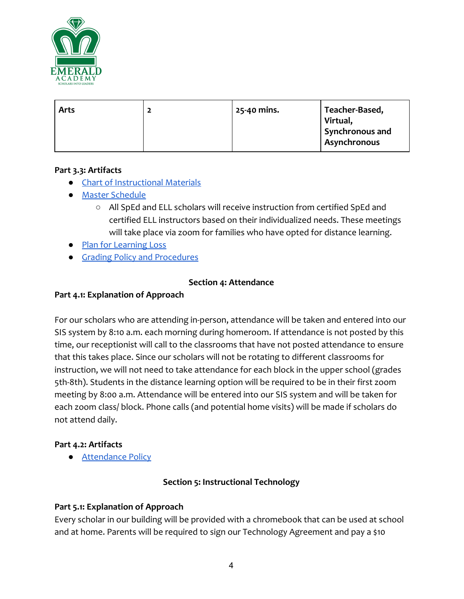

| <b>Arts</b> | ◢ | 25-40 mins. | Teacher-Based,<br>Virtual,<br>Synchronous and |
|-------------|---|-------------|-----------------------------------------------|
|             |   |             | Asynchronous                                  |

# **Part 3.3: Artifacts**

- [Chart of Instructional Materials](https://docs.google.com/document/d/1pM9oRyfTULKYShqq5cFhq2dC1zKHtqtSpa8pdyU35vE/edit?usp=sharing)
- [Master Schedule](https://docs.google.com/spreadsheets/d/1k8S6fn1pV2VwSQTPvNZ_j8X60l7Y9_G51RGk4QIMdzU/edit?usp=sharing)
	- All SpEd and ELL scholars will receive instruction from certified SpEd and certified ELL instructors based on their individualized needs. These meetings will take place via zoom for families who have opted for distance learning.
- [Plan for Learning Loss](https://drive.google.com/drive/folders/1x1QJ9CqnaPs86sOVOeNpGOLZO6PlyLff)
- [Grading Policy and Procedures](https://drive.google.com/file/d/1IwJMXXPYgfcsryWo9-rS6SDyI4rJJ4Px/view?usp=sharing)

#### **Section 4: Attendance**

#### **Part 4.1: Explanation of Approach**

For our scholars who are attending in-person, attendance will be taken and entered into our SIS system by 8:10 a.m. each morning during homeroom. If attendance is not posted by this time, our receptionist will call to the classrooms that have not posted attendance to ensure that this takes place. Since our scholars will not be rotating to different classrooms for instruction, we will not need to take attendance for each block in the upper school (grades 5th-8th). Students in the distance learning option will be required to be in their first zoom meeting by 8:00 a.m. Attendance will be entered into our SIS system and will be taken for each zoom class/ block. Phone calls (and potential home visits) will be made if scholars do not attend daily.

#### **Part 4.2: Artifacts**

● [Attendance Policy](https://docs.google.com/document/d/1fruUo11t7_YHf5MFBhL0MP9XdkMVq54q0nIoqU0ivVo/edit?usp=sharing)

# **Section 5: Instructional Technology**

#### **Part 5.1: Explanation of Approach**

Every scholar in our building will be provided with a chromebook that can be used at school and at home. Parents will be required to sign our Technology Agreement and pay a \$10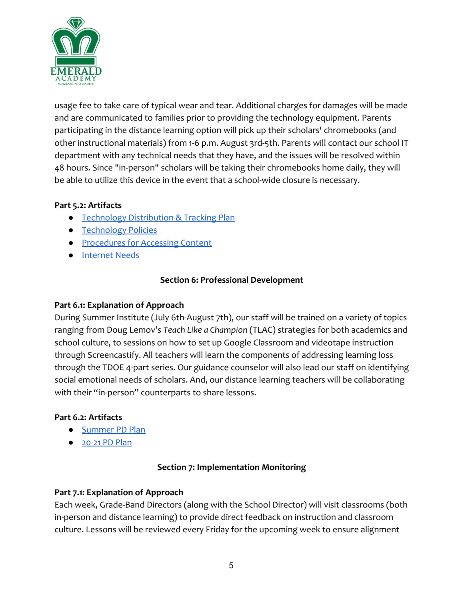

usage fee to take care of typical wear and tear. Additional charges for damages will be made and are communicated to families prior to providing the technology equipment. Parents participating in the distance learning option will pick up their scholars' chromebooks (and other instructional materials) from 1-6 p.m. August 3rd-5th. Parents will contact our school IT department with any technical needs that they have, and the issues will be resolved within 48 hours. Since "in-person" scholars will be taking their chromebooks home daily, they will be able to utilize this device in the event that a school-wide closure is necessary.

#### **Part 5.2: Artifacts**

- [Technology Distribution & Tracking Plan](https://docs.google.com/spreadsheets/d/1gfT2JNJjutK_GEGnfk8NDGwoGYoPIVXGDi8wH1wRY3s/edit?usp=sharing)
- [Technology Policies](https://drive.google.com/file/d/1nwxFytS6PRDe9b9-ocmsyhigMte1i-eB/view?usp=sharing)
- [Procedures for Accessing Content](https://www.youtube.com/watch?time_continue=6&v=tsK7XoiGt-o&feature=emb_logo)
- [Internet Needs](https://drive.google.com/file/d/1vptOIm_9jyrmBcdr4ISwkjwduBHIoDbS/view?usp=sharing)

# **Section 6: Professional Development**

#### **Part 6.1: Explanation of Approach**

During Summer Institute (July 6th-August 7th), our staff will be trained on a variety of topics ranging from Doug Lemov's *Teach Like a Champion* (TLAC) strategies for both academics and school culture, to sessions on how to set up Google Classroom and videotape instruction through Screencastify. All teachers will learn the components of addressing learning loss through the TDOE 4-part series. Our guidance counselor will also lead our staff on identifying social emotional needs of scholars. And, our distance learning teachers will be collaborating with their "in-person" counterparts to share lessons.

#### **Part 6.2: Artifacts**

- [Summer PD Plan](https://docs.google.com/spreadsheets/d/1ypWodJgkjrDPJ3fr3nCx1MWRoJVP5k64aAMq98rO9i8/edit?usp=sharing)
- [20-21 PD Plan](https://drive.google.com/file/d/1eBRgp0eEyPJG8L-20XMVtKDf0-zer5x-/view?usp=sharing)

# **Section 7: Implementation Monitoring**

#### **Part 7.1: Explanation of Approach**

Each week, Grade-Band Directors (along with the School Director) will visit classrooms (both in-person and distance learning) to provide direct feedback on instruction and classroom culture. Lessons will be reviewed every Friday for the upcoming week to ensure alignment